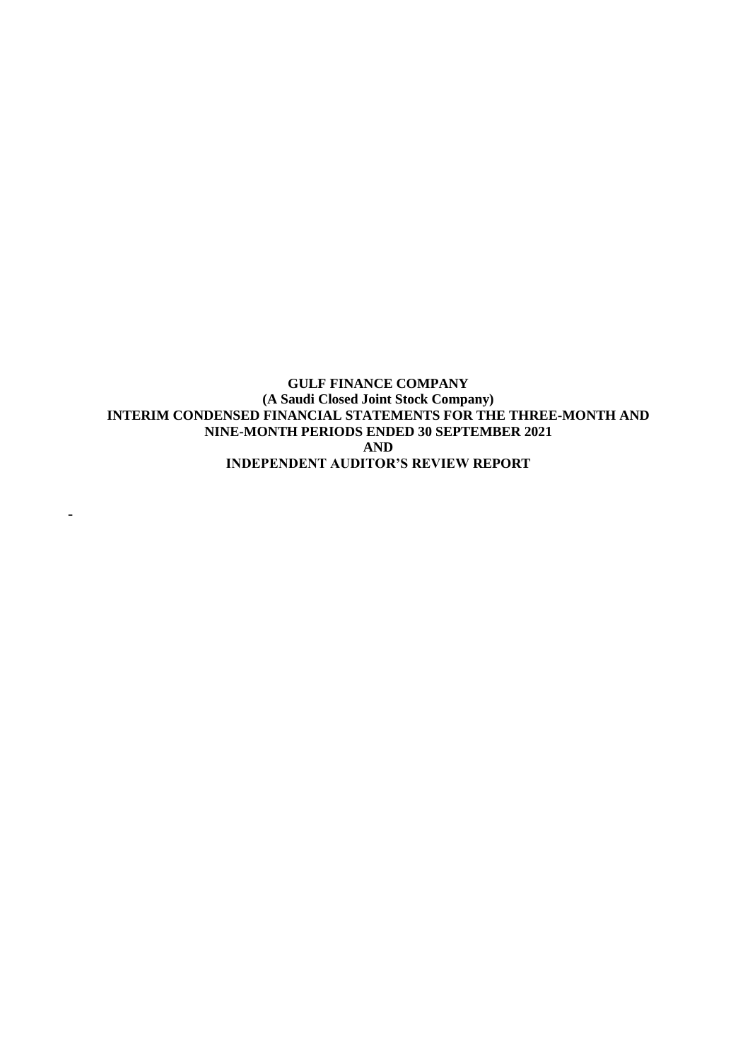**GULF FINANCE COMPANY (A Saudi Closed Joint Stock Company) INTERIM CONDENSED FINANCIAL STATEMENTS FOR THE THREE-MONTH AND NINE-MONTH PERIODS ENDED 30 SEPTEMBER 2021 AND INDEPENDENT AUDITOR'S REVIEW REPORT** 

-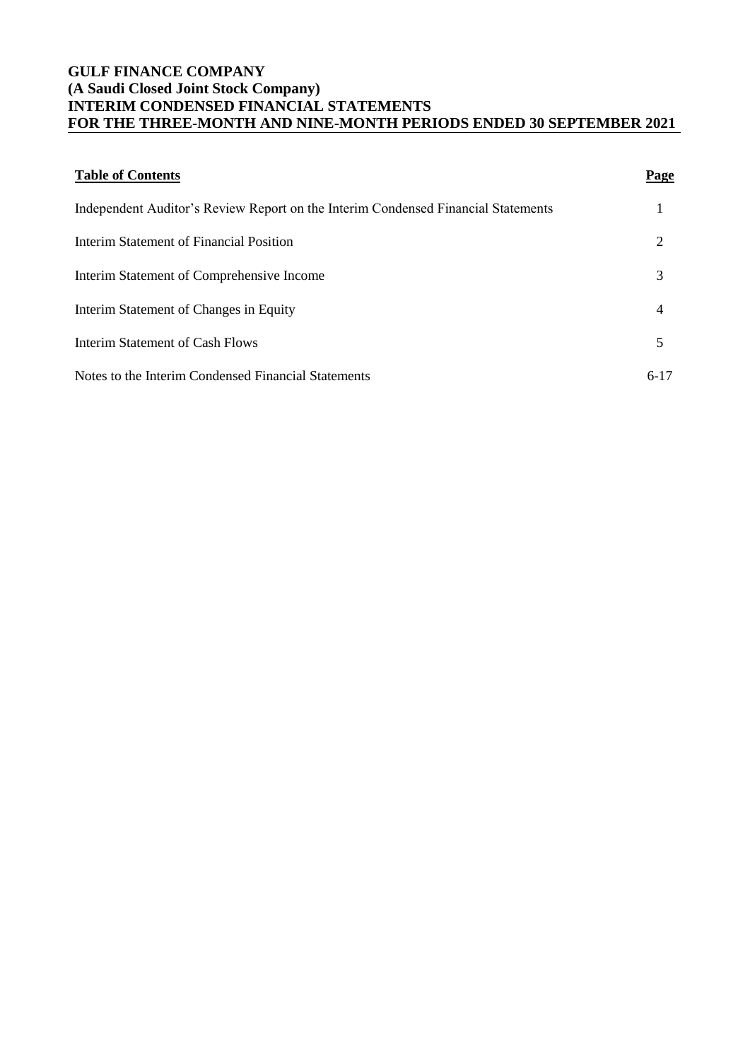# **GULF FINANCE COMPANY (A Saudi Closed Joint Stock Company) INTERIM CONDENSED FINANCIAL STATEMENTS FOR THE THREE-MONTH AND NINE-MONTH PERIODS ENDED 30 SEPTEMBER 2021**

| <b>Table of Contents</b>                                                          | Page   |
|-----------------------------------------------------------------------------------|--------|
| Independent Auditor's Review Report on the Interim Condensed Financial Statements |        |
| Interim Statement of Financial Position                                           | 2      |
| Interim Statement of Comprehensive Income                                         | 3      |
| Interim Statement of Changes in Equity                                            | 4      |
| Interim Statement of Cash Flows                                                   | 5      |
| Notes to the Interim Condensed Financial Statements                               | $6-17$ |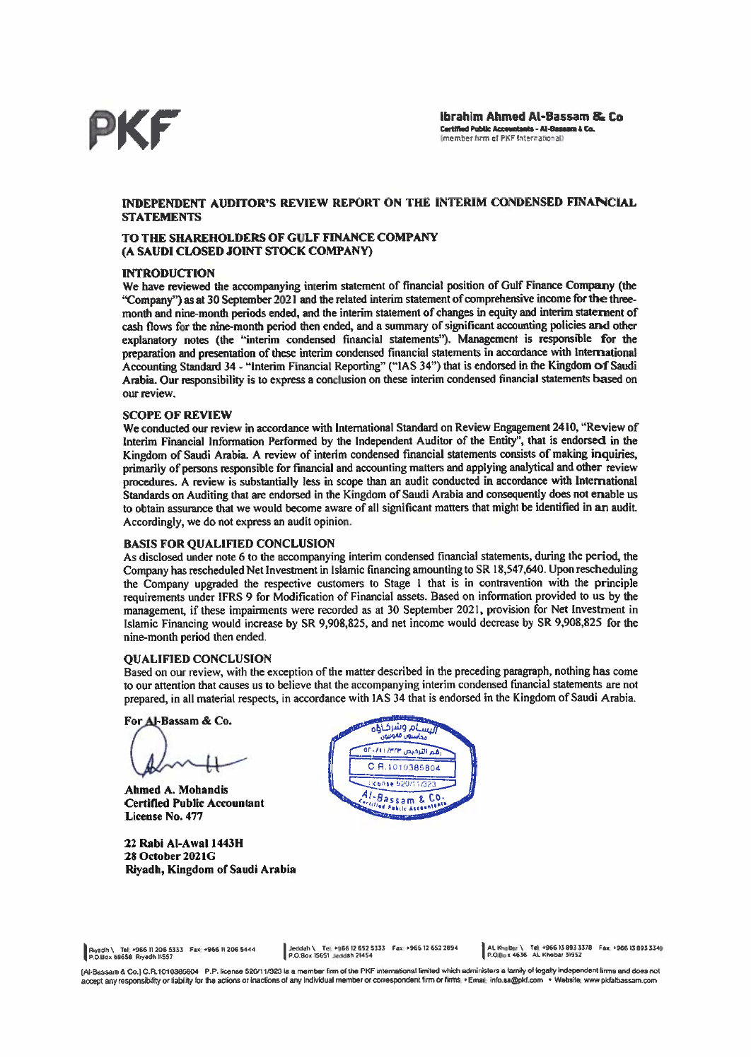

#### INDEPENDENT AUDITOR'S REVIEW REPORT ON THE INTERIM CONDENSED FINANCIAL **STATEMENTS**

#### TO THE SHAREHOLDERS OF GULF FINANCE COMPANY (A SAUDI CLOSED JOINT STOCK COMPANY)

#### **INTRODUCTION**

We have reviewed the accompanying interim statement of financial position of Gulf Finance Company (the "Company") as at 30 September 2021 and the related interim statement of comprehensive income for the threemonth and nine-month periods ended, and the interim statement of changes in equity and interim staternent of cash flows for the nine-month period then ended, and a summary of significant accounting policies and other explanatory notes (the "interim condensed financial statements"). Management is responsible for the preparation and presentation of these interim condensed financial statements in accordance with International Accounting Standard 34 - "Interim Financial Reporting" ("IAS 34") that is endorsed in the Kingdom of Saudi Arabia. Our responsibility is to express a conclusion on these interim condensed financial statements based on our review

#### **SCOPE OF REVIEW**

We conducted our review in accordance with International Standard on Review Engagement 2410, "Review of Interim Financial Information Performed by the Independent Auditor of the Entity", that is endorsed in the Kingdom of Saudi Arabia. A review of interim condensed financial statements consists of making inquiries, primarily of persons responsible for financial and accounting matters and applying analytical and other review procedures. A review is substantially less in scope than an audit conducted in accordance with International Standards on Auditing that are endorsed in the Kingdom of Saudi Arabia and consequently does not erable us to obtain assurance that we would become aware of all significant matters that might be identified in an audit. Accordingly, we do not express an audit opinion.

#### **BASIS FOR QUALIFIED CONCLUSION**

As disclosed under note 6 to the accompanying interim condensed financial statements, during the period, the Company has rescheduled Net Investment in Islamic financing amounting to SR 18,547,640. Upon rescheduling the Company upgraded the respective customers to Stage 1 that is in contravention with the principle requirements under IFRS 9 for Modification of Financial assets. Based on information provided to us by the management, if these impairments were recorded as at 30 September 2021, provision for Net Investment in Islamic Financing would increase by SR 9,908,825, and net income would decrease by SR 9,908,825 for the nine-month period then ended.

#### **OUALIFIED CONCLUSION**

Based on our review, with the exception of the matter described in the preceding paragraph, nothing has come to our attention that causes us to believe that the accompanying interim condensed financial statements are not prepared, in all material respects, in accordance with IAS 34 that is endorsed in the Kingdom of Saudi Arabia.

For Al-Bassam & Co.

Ahmed A. Mohandis **Certified Public Accountant** License No. 477

22 Rabi Al-Awal 1443H 28 October 2021G Riyadh, Kingdom of Saudi Arabia



Riyadh \ Tel: +966 11 206 5333 Fax: +966 11 206 5444<br>P.O.Box 69658 Riyadh 11557

[Al-Bassam & Co.] C.R.1010385804 P.P. license 520/11/323 is a member firm of the PKF international limited which administers a family of legally independent tirms and does not accept any responsibility or liability for the actions or inactions of any Individual member or correspondent firm or firms. . Email: info.sa@pkf.com . Website: www.pkfalbassam.com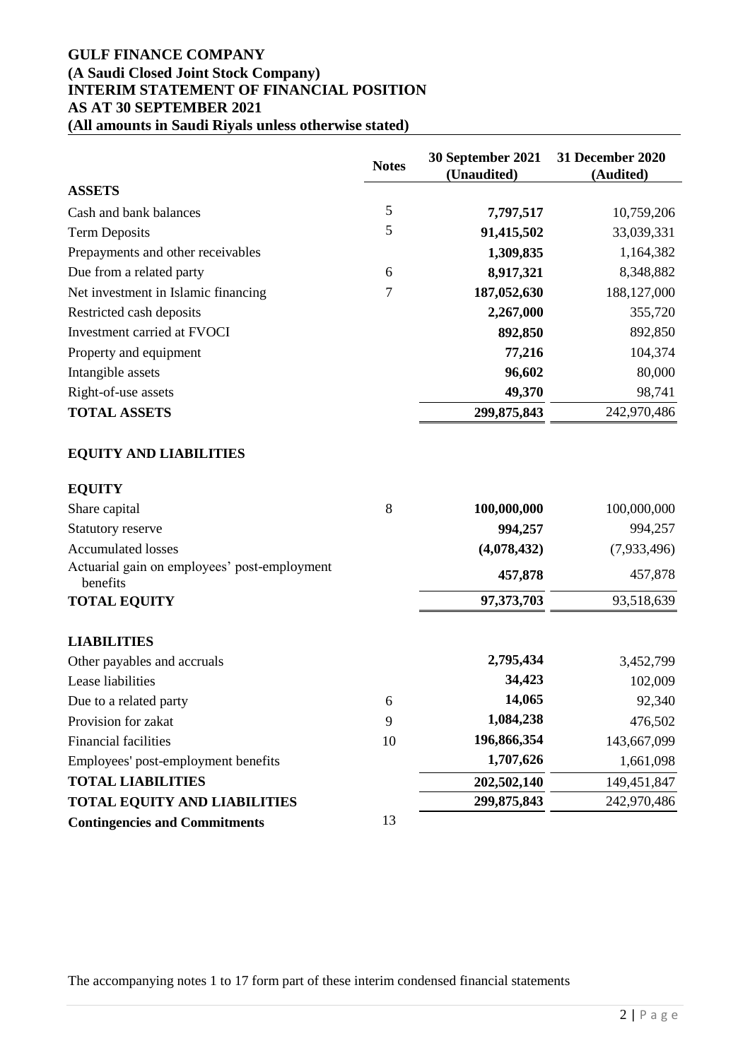# **GULF FINANCE COMPANY (A Saudi Closed Joint Stock Company) INTERIM STATEMENT OF FINANCIAL POSITION AS AT 30 SEPTEMBER 2021 (All amounts in Saudi Riyals unless otherwise stated)**

|                                                          | <b>Notes</b>   | <b>30 September 2021</b><br>(Unaudited) | <b>31 December 2020</b><br>(Audited) |
|----------------------------------------------------------|----------------|-----------------------------------------|--------------------------------------|
| <b>ASSETS</b>                                            |                |                                         |                                      |
| Cash and bank balances                                   | $\mathfrak{S}$ | 7,797,517                               | 10,759,206                           |
| <b>Term Deposits</b>                                     | 5              | 91,415,502                              | 33,039,331                           |
| Prepayments and other receivables                        |                | 1,309,835                               | 1,164,382                            |
| Due from a related party                                 | 6              | 8,917,321                               | 8,348,882                            |
| Net investment in Islamic financing                      | 7              | 187,052,630                             | 188, 127, 000                        |
| Restricted cash deposits                                 |                | 2,267,000                               | 355,720                              |
| Investment carried at FVOCI                              |                | 892,850                                 | 892,850                              |
| Property and equipment                                   |                | 77,216                                  | 104,374                              |
| Intangible assets                                        |                | 96,602                                  | 80,000                               |
| Right-of-use assets                                      |                | 49,370                                  | 98,741                               |
| <b>TOTAL ASSETS</b>                                      |                | 299,875,843                             | 242,970,486                          |
| <b>EQUITY AND LIABILITIES</b>                            |                |                                         |                                      |
| <b>EQUITY</b>                                            |                |                                         |                                      |
| Share capital                                            | 8              | 100,000,000                             | 100,000,000                          |
| Statutory reserve                                        |                | 994,257                                 | 994,257                              |
| <b>Accumulated losses</b>                                |                | (4,078,432)                             | (7,933,496)                          |
| Actuarial gain on employees' post-employment<br>benefits |                | 457,878                                 | 457,878                              |
| <b>TOTAL EQUITY</b>                                      |                | 97,373,703                              | 93,518,639                           |
| <b>LIABILITIES</b>                                       |                |                                         |                                      |
| Other payables and accruals                              |                | 2,795,434                               | 3,452,799                            |
| Lease liabilities                                        |                | 34,423                                  | 102,009                              |
| Due to a related party                                   | 6              | 14,065                                  | 92,340                               |
| Provision for zakat                                      | 9              | 1,084,238                               | 476,502                              |
| <b>Financial facilities</b>                              | 10             | 196,866,354                             | 143,667,099                          |
| Employees' post-employment benefits                      |                | 1,707,626                               | 1,661,098                            |
| <b>TOTAL LIABILITIES</b>                                 |                | 202,502,140                             | 149,451,847                          |
| <b>TOTAL EQUITY AND LIABILITIES</b>                      |                | 299,875,843                             | 242,970,486                          |
| <b>Contingencies and Commitments</b>                     | 13             |                                         |                                      |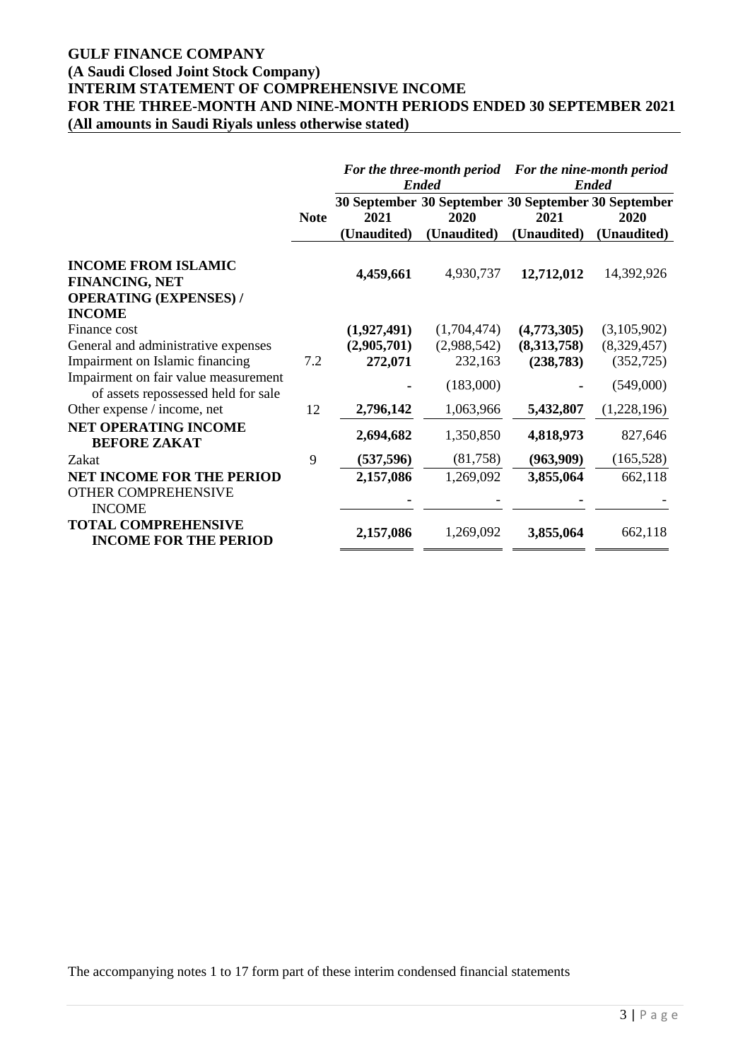# **GULF FINANCE COMPANY**

# **(A Saudi Closed Joint Stock Company)**

**INTERIM STATEMENT OF COMPREHENSIVE INCOME**

**FOR THE THREE-MONTH AND NINE-MONTH PERIODS ENDED 30 SEPTEMBER 2021**

**(All amounts in Saudi Riyals unless otherwise stated)**

|                                                                                      |             |                            | For the three-month period For the nine-month period<br><b>Ended</b> |                            | <b>Ended</b>               |
|--------------------------------------------------------------------------------------|-------------|----------------------------|----------------------------------------------------------------------|----------------------------|----------------------------|
|                                                                                      | <b>Note</b> | 2021                       | 30 September 30 September 30 September 30 September<br>2020          | 2021                       | 2020                       |
|                                                                                      |             | (Unaudited)                | (Unaudited)                                                          | (Unaudited)                | (Unaudited)                |
| <b>INCOME FROM ISLAMIC</b><br><b>FINANCING, NET</b><br><b>OPERATING (EXPENSES) /</b> |             | 4,459,661                  | 4,930,737                                                            | 12,712,012                 | 14,392,926                 |
| <b>INCOME</b>                                                                        |             |                            |                                                                      |                            |                            |
| Finance cost<br>General and administrative expenses                                  |             | (1,927,491)<br>(2,905,701) | (1,704,474)<br>(2,988,542)                                           | (4,773,305)<br>(8,313,758) | (3,105,902)<br>(8,329,457) |
| Impairment on Islamic financing                                                      | 7.2         | 272,071                    | 232,163                                                              | (238, 783)                 | (352, 725)                 |
| Impairment on fair value measurement<br>of assets repossessed held for sale          |             |                            | (183,000)                                                            |                            | (549,000)                  |
| Other expense / income, net                                                          | 12          | 2,796,142                  | 1,063,966                                                            | 5,432,807                  | (1,228,196)                |
| <b>NET OPERATING INCOME</b><br><b>BEFORE ZAKAT</b>                                   |             | 2,694,682                  | 1,350,850                                                            | 4,818,973                  | 827,646                    |
| Zakat                                                                                | 9           | (537, 596)                 | (81,758)                                                             | (963,909)                  | (165, 528)                 |
| <b>NET INCOME FOR THE PERIOD</b><br><b>OTHER COMPREHENSIVE</b><br><b>INCOME</b>      |             | 2,157,086                  | 1,269,092                                                            | 3,855,064                  | 662,118                    |
| <b>TOTAL COMPREHENSIVE</b><br><b>INCOME FOR THE PERIOD</b>                           |             | 2,157,086                  | 1,269,092                                                            | 3,855,064                  | 662,118                    |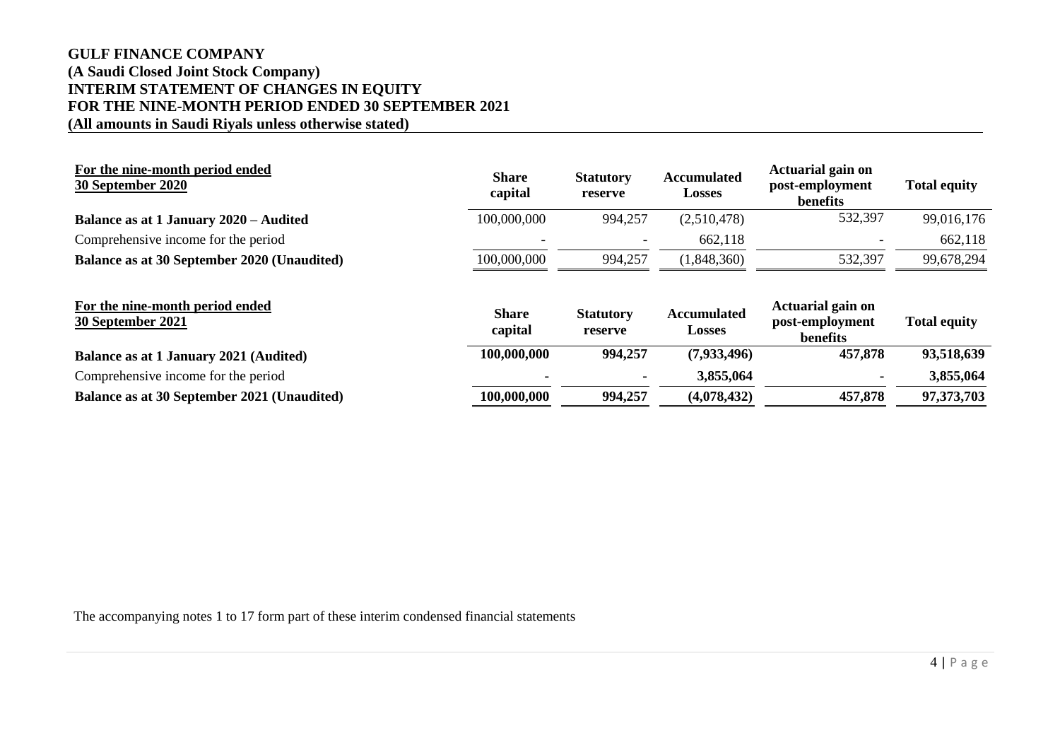# **GULF FINANCE COMPANY (A Saudi Closed Joint Stock Company) INTERIM STATEMENT OF CHANGES IN EQUITY FOR THE NINE-MONTH PERIOD ENDED 30 SEPTEMBER 2021 (All amounts in Saudi Riyals unless otherwise stated)**

| For the nine-month period ended<br>30 September 2020 | <b>Share</b><br>capital | <b>Statutory</b><br>reserve | <b>Accumulated</b><br><b>Losses</b> | Actuarial gain on<br>post-employment<br>benefits | <b>Total equity</b> |
|------------------------------------------------------|-------------------------|-----------------------------|-------------------------------------|--------------------------------------------------|---------------------|
| Balance as at 1 January 2020 – Audited               | 100,000,000             | 994,257                     | (2,510,478)                         | 532,397                                          | 99,016,176          |
| Comprehensive income for the period                  |                         |                             | 662,118                             |                                                  | 662,118             |
| Balance as at 30 September 2020 (Unaudited)          | 100,000,000             | 994,257                     | (1,848,360)                         | 532,397                                          | 99,678,294          |
| For the nine-month period ended<br>30 September 2021 | <b>Share</b><br>capital | <b>Statutory</b><br>reserve | <b>Accumulated</b><br><b>Losses</b> | Actuarial gain on<br>post-employment<br>benefits | <b>Total equity</b> |
| Balance as at 1 January 2021 (Audited)               | 100,000,000             | 994,257                     | (7,933,496)                         | 457,878                                          | 93,518,639          |
| Comprehensive income for the period                  |                         |                             | 3,855,064                           |                                                  | 3,855,064           |
| Balance as at 30 September 2021 (Unaudited)          | 100,000,000             | 994,257                     | (4,078,432)                         | 457,878                                          | 97,373,703          |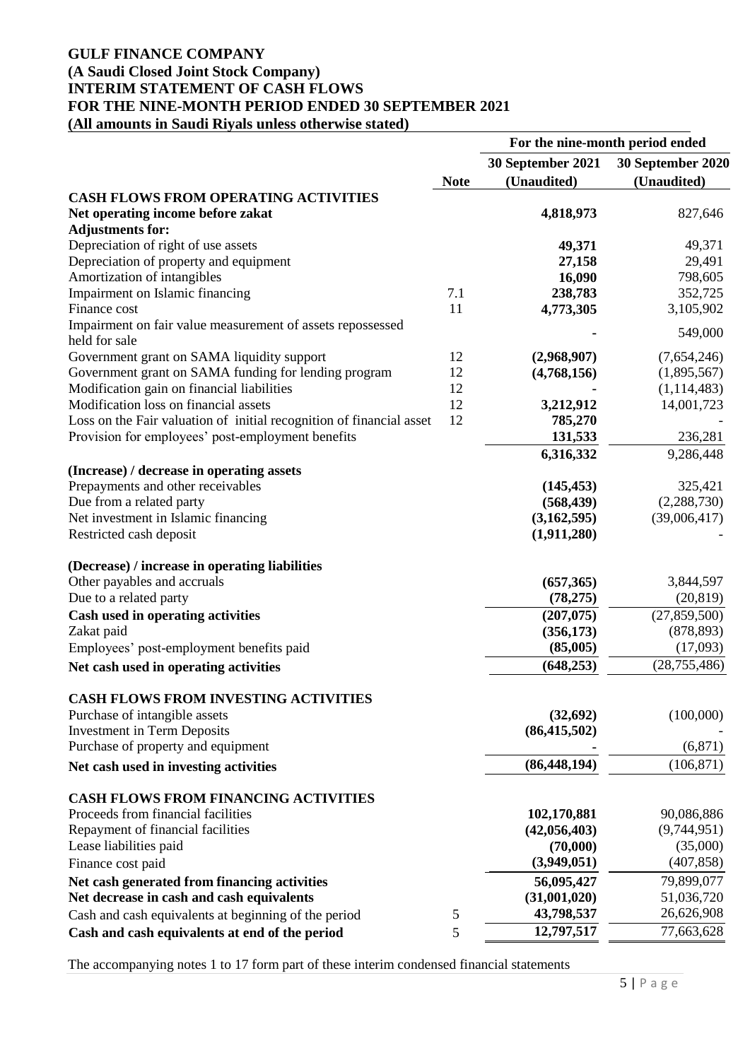# **GULF FINANCE COMPANY (A Saudi Closed Joint Stock Company) INTERIM STATEMENT OF CASH FLOWS FOR THE NINE-MONTH PERIOD ENDED 30 SEPTEMBER 2021 (All amounts in Saudi Riyals unless otherwise stated)**

|                                                                             |             |                   | For the nine-month period ended |
|-----------------------------------------------------------------------------|-------------|-------------------|---------------------------------|
|                                                                             |             | 30 September 2021 | 30 September 2020               |
|                                                                             | <b>Note</b> | (Unaudited)       | (Unaudited)                     |
| <b>CASH FLOWS FROM OPERATING ACTIVITIES</b>                                 |             |                   |                                 |
| Net operating income before zakat<br><b>Adjustments for:</b>                |             | 4,818,973         | 827,646                         |
| Depreciation of right of use assets                                         |             | 49,371            | 49,371                          |
| Depreciation of property and equipment                                      |             | 27,158            | 29,491                          |
| Amortization of intangibles                                                 |             | 16,090            | 798,605                         |
| Impairment on Islamic financing                                             | 7.1         | 238,783           | 352,725                         |
| Finance cost                                                                | 11          | 4,773,305         | 3,105,902                       |
| Impairment on fair value measurement of assets repossessed<br>held for sale |             |                   | 549,000                         |
| Government grant on SAMA liquidity support                                  | 12          | (2,968,907)       | (7,654,246)                     |
| Government grant on SAMA funding for lending program                        | 12          | (4,768,156)       | (1,895,567)                     |
| Modification gain on financial liabilities                                  | 12          |                   | (1,114,483)                     |
| Modification loss on financial assets                                       | 12          | 3,212,912         | 14,001,723                      |
| Loss on the Fair valuation of initial recognition of financial asset        | 12          | 785,270           |                                 |
| Provision for employees' post-employment benefits                           |             | 131,533           | 236,281                         |
| (Increase) / decrease in operating assets                                   |             | 6,316,332         | 9,286,448                       |
| Prepayments and other receivables                                           |             | (145, 453)        | 325,421                         |
| Due from a related party                                                    |             | (568, 439)        | (2,288,730)                     |
| Net investment in Islamic financing                                         |             | (3,162,595)       | (39,006,417)                    |
| Restricted cash deposit                                                     |             | (1,911,280)       |                                 |
| (Decrease) / increase in operating liabilities                              |             |                   |                                 |
| Other payables and accruals                                                 |             | (657,365)         | 3,844,597                       |
| Due to a related party                                                      |             | (78, 275)         | (20, 819)                       |
| Cash used in operating activities                                           |             | (207, 075)        | (27, 859, 500)                  |
| Zakat paid                                                                  |             | (356, 173)        | (878, 893)                      |
| Employees' post-employment benefits paid                                    |             | (85,005)          | (17,093)                        |
| Net cash used in operating activities                                       |             | (648, 253)        | (28, 755, 486)                  |
| <b>CASH FLOWS FROM INVESTING ACTIVITIES</b>                                 |             |                   |                                 |
| Purchase of intangible assets                                               |             | (32,692)          | (100,000)                       |
| <b>Investment in Term Deposits</b>                                          |             | (86, 415, 502)    |                                 |
| Purchase of property and equipment                                          |             |                   | (6, 871)                        |
| Net cash used in investing activities                                       |             | (86, 448, 194)    | (106, 871)                      |
| <b>CASH FLOWS FROM FINANCING ACTIVITIES</b>                                 |             |                   |                                 |
| Proceeds from financial facilities                                          |             | 102,170,881       | 90,086,886                      |
| Repayment of financial facilities                                           |             | (42, 056, 403)    | (9,744,951)                     |
| Lease liabilities paid                                                      |             | (70,000)          | (35,000)                        |
| Finance cost paid                                                           |             | (3,949,051)       | (407, 858)                      |
| Net cash generated from financing activities                                |             | 56,095,427        | 79,899,077                      |
| Net decrease in cash and cash equivalents                                   |             | (31,001,020)      | 51,036,720                      |
| Cash and cash equivalents at beginning of the period                        | 5           | 43,798,537        | 26,626,908                      |
| Cash and cash equivalents at end of the period                              | 5           | 12,797,517        | 77,663,628                      |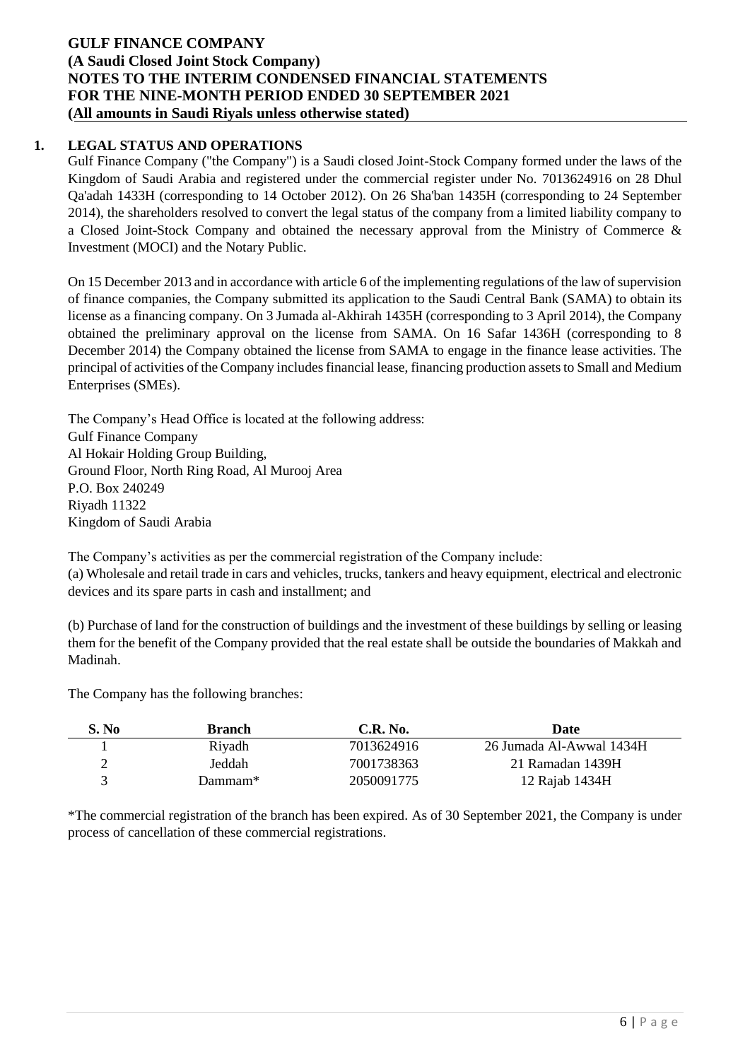# **1. LEGAL STATUS AND OPERATIONS**

Gulf Finance Company ("the Company") is a Saudi closed Joint-Stock Company formed under the laws of the Kingdom of Saudi Arabia and registered under the commercial register under No. 7013624916 on 28 Dhul Qa'adah 1433H (corresponding to 14 October 2012). On 26 Sha'ban 1435H (corresponding to 24 September 2014), the shareholders resolved to convert the legal status of the company from a limited liability company to a Closed Joint-Stock Company and obtained the necessary approval from the Ministry of Commerce & Investment (MOCI) and the Notary Public.

On 15 December 2013 and in accordance with article 6 of the implementing regulations of the law of supervision of finance companies, the Company submitted its application to the Saudi Central Bank (SAMA) to obtain its license as a financing company. On 3 Jumada al-Akhirah 1435H (corresponding to 3 April 2014), the Company obtained the preliminary approval on the license from SAMA. On 16 Safar 1436H (corresponding to 8 December 2014) the Company obtained the license from SAMA to engage in the finance lease activities. The principal of activities of the Company includes financial lease, financing production assets to Small and Medium Enterprises (SMEs).

The Company's Head Office is located at the following address: Gulf Finance Company Al Hokair Holding Group Building, Ground Floor, North Ring Road, Al Murooj Area P.O. Box 240249 Riyadh 11322 Kingdom of Saudi Arabia

The Company's activities as per the commercial registration of the Company include: (a) Wholesale and retail trade in cars and vehicles, trucks, tankers and heavy equipment, electrical and electronic devices and its spare parts in cash and installment; and

(b) Purchase of land for the construction of buildings and the investment of these buildings by selling or leasing them for the benefit of the Company provided that the real estate shall be outside the boundaries of Makkah and Madinah.

The Company has the following branches:

| S. No | <b>Branch</b> | $C.R.$ No. | Date                     |
|-------|---------------|------------|--------------------------|
|       | Riyadh        | 7013624916 | 26 Jumada Al-Awwal 1434H |
|       | Jeddah        | 7001738363 | 21 Ramadan 1439H         |
|       | Dammam*       | 2050091775 | 12 Rajab 1434H           |

\*The commercial registration of the branch has been expired. As of 30 September 2021, the Company is under process of cancellation of these commercial registrations.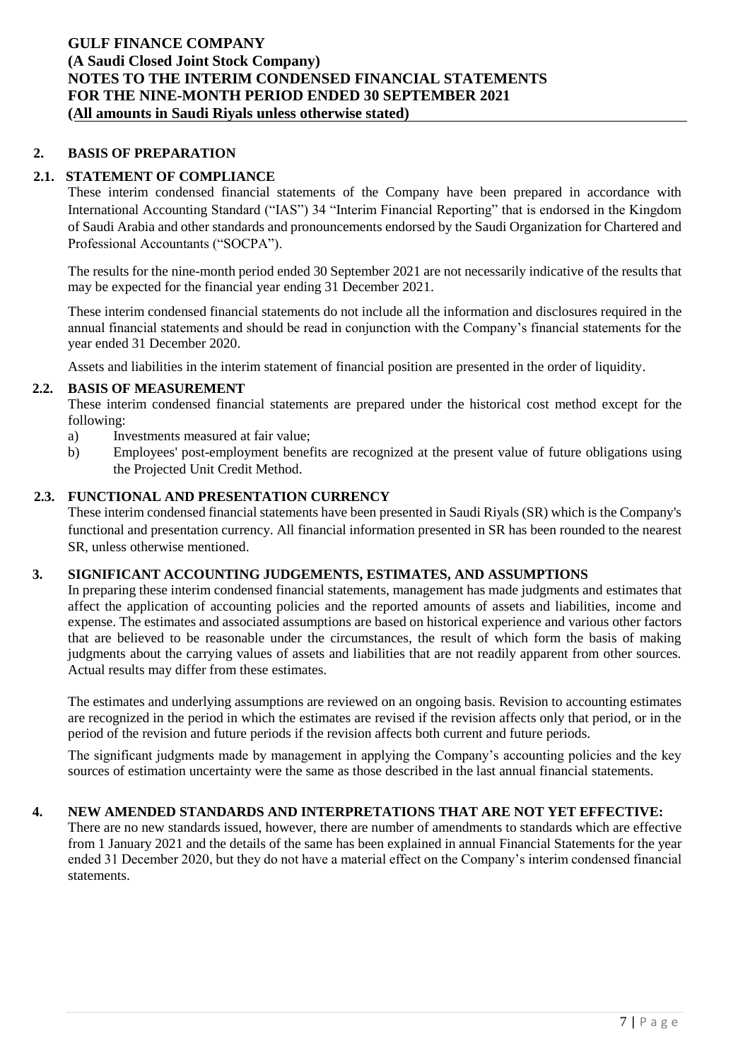## **2. BASIS OF PREPARATION**

## **2.1. STATEMENT OF COMPLIANCE**

These interim condensed financial statements of the Company have been prepared in accordance with International Accounting Standard ("IAS") 34 "Interim Financial Reporting" that is endorsed in the Kingdom of Saudi Arabia and other standards and pronouncements endorsed by the Saudi Organization for Chartered and Professional Accountants ("SOCPA").

The results for the nine-month period ended 30 September 2021 are not necessarily indicative of the results that may be expected for the financial year ending 31 December 2021.

These interim condensed financial statements do not include all the information and disclosures required in the annual financial statements and should be read in conjunction with the Company's financial statements for the year ended 31 December 2020.

Assets and liabilities in the interim statement of financial position are presented in the order of liquidity.

### **2.2. BASIS OF MEASUREMENT**

These interim condensed financial statements are prepared under the historical cost method except for the following:

- a) Investments measured at fair value;
- b) Employees' post-employment benefits are recognized at the present value of future obligations using the Projected Unit Credit Method.

### **2.3. FUNCTIONAL AND PRESENTATION CURRENCY**

These interim condensed financial statements have been presented in Saudi Riyals (SR) which is the Company's functional and presentation currency. All financial information presented in SR has been rounded to the nearest SR, unless otherwise mentioned.

## **3. SIGNIFICANT ACCOUNTING JUDGEMENTS, ESTIMATES, AND ASSUMPTIONS**

In preparing these interim condensed financial statements, management has made judgments and estimates that affect the application of accounting policies and the reported amounts of assets and liabilities, income and expense. The estimates and associated assumptions are based on historical experience and various other factors that are believed to be reasonable under the circumstances, the result of which form the basis of making judgments about the carrying values of assets and liabilities that are not readily apparent from other sources. Actual results may differ from these estimates.

The estimates and underlying assumptions are reviewed on an ongoing basis. Revision to accounting estimates are recognized in the period in which the estimates are revised if the revision affects only that period, or in the period of the revision and future periods if the revision affects both current and future periods.

The significant judgments made by management in applying the Company's accounting policies and the key sources of estimation uncertainty were the same as those described in the last annual financial statements.

## **4. NEW AMENDED STANDARDS AND INTERPRETATIONS THAT ARE NOT YET EFFECTIVE:**

There are no new standards issued, however, there are number of amendments to standards which are effective from 1 January 2021 and the details of the same has been explained in annual Financial Statements for the year ended 31 December 2020, but they do not have a material effect on the Company's interim condensed financial statements.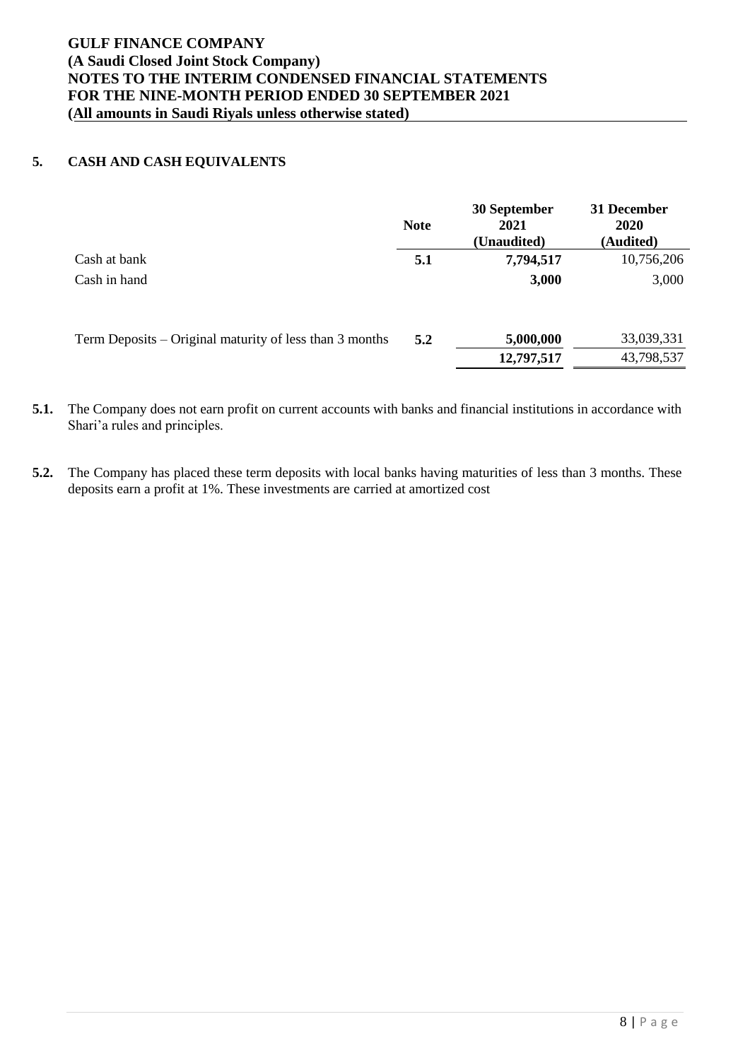# **5. CASH AND CASH EQUIVALENTS**

|                                                         | <b>Note</b> | 30 September<br>2021<br>(Unaudited) | 31 December<br><b>2020</b><br>(Audited) |
|---------------------------------------------------------|-------------|-------------------------------------|-----------------------------------------|
| Cash at bank                                            | 5.1         | 7,794,517                           | 10,756,206                              |
| Cash in hand                                            |             | 3,000                               | 3,000                                   |
| Term Deposits – Original maturity of less than 3 months | 5.2         | 5,000,000                           | 33,039,331                              |
|                                                         |             | 12,797,517                          | 43,798,537                              |

**5.1.** The Company does not earn profit on current accounts with banks and financial institutions in accordance with Shari'a rules and principles.

**5.2.** The Company has placed these term deposits with local banks having maturities of less than 3 months. These deposits earn a profit at 1%. These investments are carried at amortized cost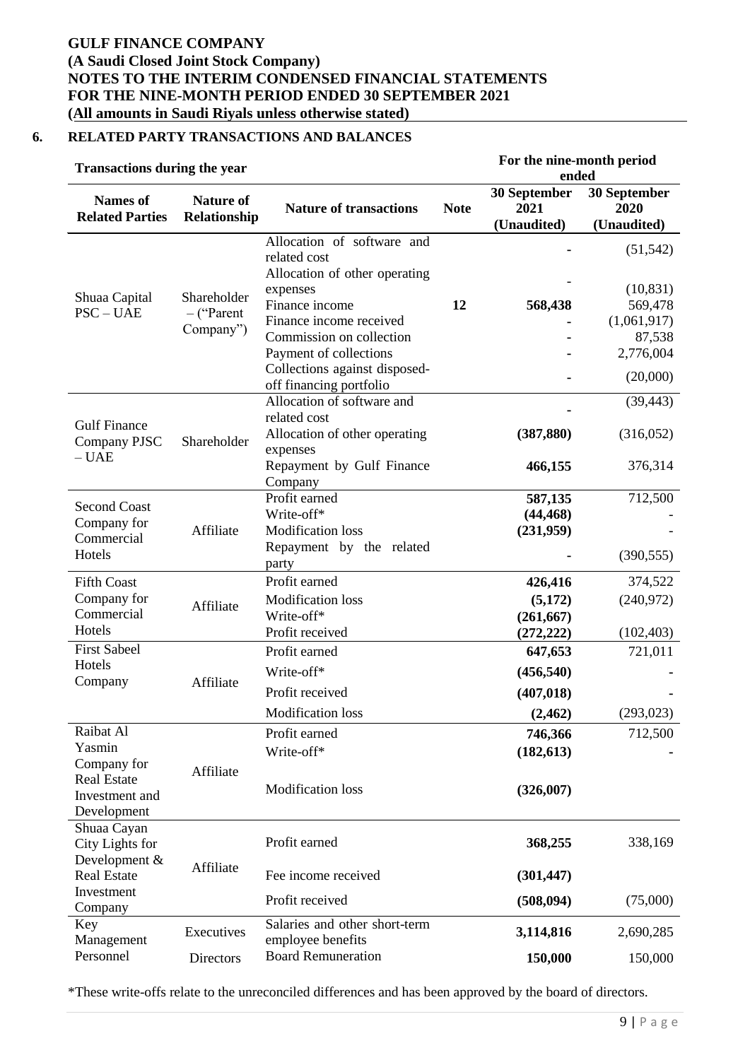# **6. RELATED PARTY TRANSACTIONS AND BALANCES**

| <b>Transactions during the year</b>                        |                                           |                                                                                         | For the nine-month period<br>ended |                                     |                                     |
|------------------------------------------------------------|-------------------------------------------|-----------------------------------------------------------------------------------------|------------------------------------|-------------------------------------|-------------------------------------|
| <b>Names</b> of<br><b>Related Parties</b>                  | <b>Nature of</b><br>Relationship          | <b>Nature of transactions</b>                                                           | <b>Note</b>                        | 30 September<br>2021<br>(Unaudited) | 30 September<br>2020<br>(Unaudited) |
|                                                            |                                           | Allocation of software and<br>related cost<br>Allocation of other operating<br>expenses |                                    |                                     | (51, 542)<br>(10, 831)              |
| Shuaa Capital<br>$PSC - UAE$                               | Shareholder<br>$-$ ("Parent"<br>Company") | Finance income<br>Finance income received<br>Commission on collection                   | 12                                 | 568,438                             | 569,478<br>(1,061,917)<br>87,538    |
|                                                            |                                           | Payment of collections<br>Collections against disposed-<br>off financing portfolio      |                                    |                                     | 2,776,004<br>(20,000)               |
| <b>Gulf Finance</b>                                        |                                           | Allocation of software and<br>related cost                                              |                                    |                                     | (39, 443)                           |
| Company PJSC<br>$- UAE$                                    | Shareholder                               | Allocation of other operating<br>expenses                                               |                                    | (387, 880)                          | (316,052)                           |
|                                                            |                                           | Repayment by Gulf Finance<br>Company                                                    |                                    | 466,155                             | 376,314                             |
| <b>Second Coast</b><br>Company for<br>Commercial<br>Hotels | Affiliate                                 | Profit earned<br>Write-off*<br><b>Modification</b> loss<br>Repayment by the related     |                                    | 587,135<br>(44, 468)<br>(231,959)   | 712,500                             |
| <b>Fifth Coast</b>                                         |                                           | party<br>Profit earned                                                                  |                                    | 426,416                             | (390, 555)<br>374,522               |
| Company for<br>Commercial                                  | Affiliate                                 | <b>Modification</b> loss<br>Write-off*                                                  |                                    | (5,172)<br>(261, 667)               | (240,972)                           |
| Hotels<br><b>First Sabeel</b>                              |                                           | Profit received<br>Profit earned                                                        |                                    | (272, 222)<br>647,653               | (102, 403)<br>721,011               |
| Hotels<br>Company                                          | Affiliate                                 | Write-off*<br>Profit received                                                           |                                    | (456, 540)<br>(407, 018)            |                                     |
|                                                            |                                           | <b>Modification</b> loss                                                                |                                    | (2, 462)                            | (293, 023)                          |
| Raibat Al<br>Yasmin<br>Company for                         | Affiliate                                 | Profit earned<br>Write-off*                                                             |                                    | 746,366<br>(182, 613)               | 712,500                             |
| <b>Real Estate</b><br>Investment and<br>Development        |                                           | <b>Modification</b> loss                                                                |                                    | (326,007)                           |                                     |
| Shuaa Cayan<br>City Lights for<br>Development &            | Affiliate                                 | Profit earned                                                                           |                                    | 368,255                             | 338,169                             |
| <b>Real Estate</b><br>Investment<br>Company                |                                           | Fee income received<br>Profit received                                                  |                                    | (301, 447)<br>(508, 094)            | (75,000)                            |
| Key<br>Management                                          | Executives                                | Salaries and other short-term<br>employee benefits                                      |                                    | 3,114,816                           | 2,690,285                           |
| Personnel                                                  | Directors                                 | <b>Board Remuneration</b>                                                               |                                    | 150,000                             | 150,000                             |

\*These write-offs relate to the unreconciled differences and has been approved by the board of directors.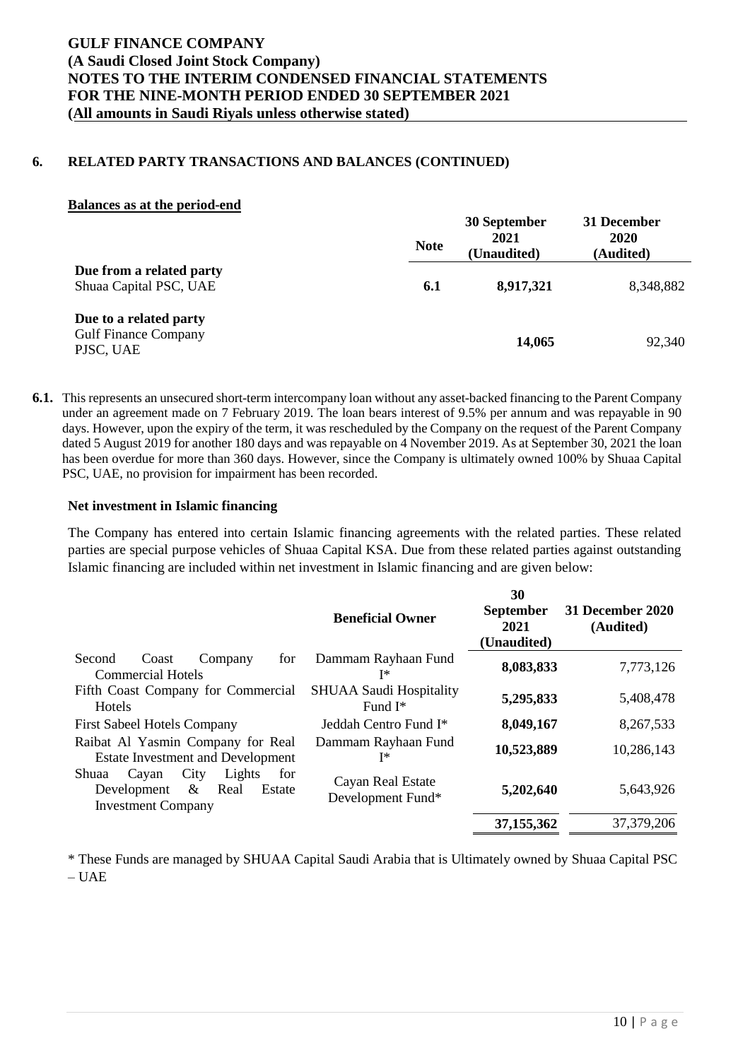### **6. RELATED PARTY TRANSACTIONS AND BALANCES (CONTINUED)**

### **Balances as at the period-end**

|                                                                    | <b>Note</b> | 30 September<br>2021<br>(Unaudited) | 31 December<br>2020<br>(Audited) |
|--------------------------------------------------------------------|-------------|-------------------------------------|----------------------------------|
| Due from a related party<br>Shuaa Capital PSC, UAE                 | 6.1         | 8,917,321                           | 8,348,882                        |
| Due to a related party<br><b>Gulf Finance Company</b><br>PJSC, UAE |             | 14,065                              | 92,340                           |

**6.1.** This represents an unsecured short-term intercompany loan without any asset-backed financing to the Parent Company under an agreement made on 7 February 2019. The loan bears interest of 9.5% per annum and was repayable in 90 days. However, upon the expiry of the term, it was rescheduled by the Company on the request of the Parent Company dated 5 August 2019 for another 180 days and was repayable on 4 November 2019. As at September 30, 2021 the loan has been overdue for more than 360 days. However, since the Company is ultimately owned 100% by Shuaa Capital PSC, UAE, no provision for impairment has been recorded.

### **Net investment in Islamic financing**

The Company has entered into certain Islamic financing agreements with the related parties. These related parties are special purpose vehicles of Shuaa Capital KSA. Due from these related parties against outstanding Islamic financing are included within net investment in Islamic financing and are given below:

|                                                                                                               | <b>Beneficial Owner</b>                      | 30<br><b>September</b><br>2021<br>(Unaudited) | <b>31 December 2020</b><br>(Audited) |
|---------------------------------------------------------------------------------------------------------------|----------------------------------------------|-----------------------------------------------|--------------------------------------|
| Second<br>for<br>Coast<br>Company<br><b>Commercial Hotels</b>                                                 | Dammam Rayhaan Fund<br>I∗                    | 8,083,833                                     | 7,773,126                            |
| Fifth Coast Company for Commercial<br><b>Hotels</b>                                                           | <b>SHUAA Saudi Hospitality</b><br>Fund $I^*$ | 5,295,833                                     | 5,408,478                            |
| <b>First Sabeel Hotels Company</b>                                                                            | Jeddah Centro Fund I <sup>*</sup>            | 8,049,167                                     | 8,267,533                            |
| Raibat Al Yasmin Company for Real<br><b>Estate Investment and Development</b>                                 | Dammam Rayhaan Fund<br>T*                    | 10,523,889                                    | 10,286,143                           |
| Lights<br>Shuaa<br>City<br>for<br>Cayan<br>Real<br>Development<br>$\&$<br>Estate<br><b>Investment Company</b> | Cayan Real Estate<br>Development Fund*       | 5,202,640                                     | 5,643,926                            |
|                                                                                                               |                                              | 37,155,362                                    | 37, 379, 206                         |

\* These Funds are managed by SHUAA Capital Saudi Arabia that is Ultimately owned by Shuaa Capital PSC  $- IIAE$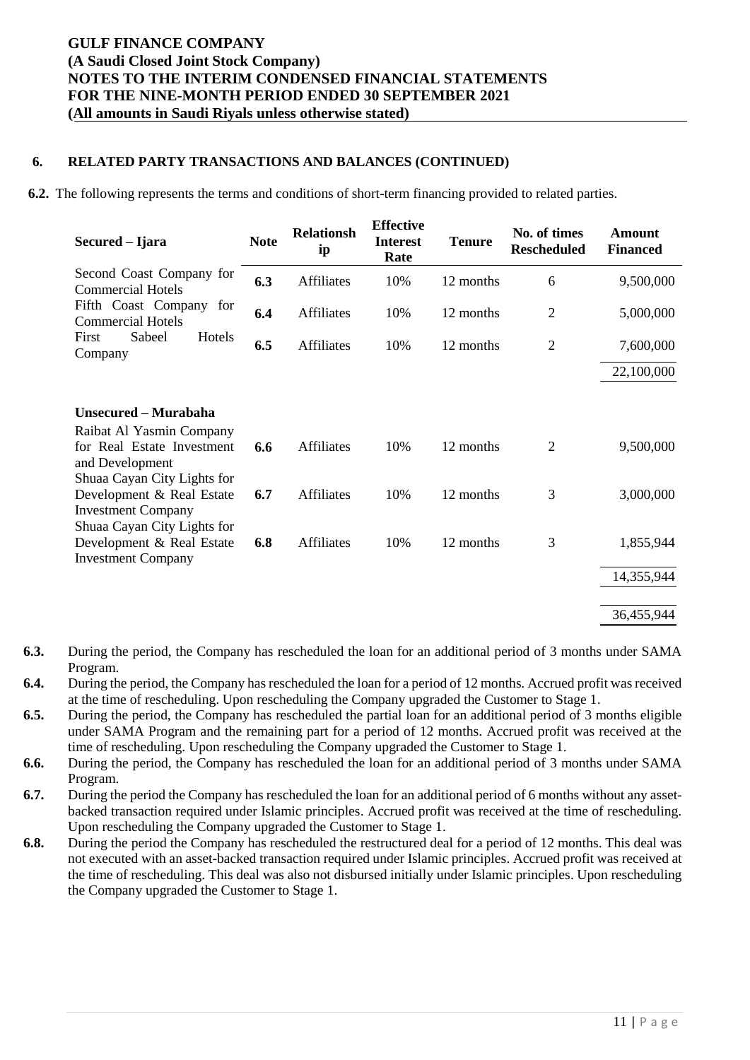## **6. RELATED PARTY TRANSACTIONS AND BALANCES (CONTINUED)**

**6.2.** The following represents the terms and conditions of short-term financing provided to related parties.

| Secured – Ijara                                                                                          | <b>Note</b> | <b>Relationsh</b><br>ip | <b>Effective</b><br><b>Interest</b><br>Rate | <b>Tenure</b> | No. of times<br><b>Rescheduled</b> | Amount<br><b>Financed</b> |
|----------------------------------------------------------------------------------------------------------|-------------|-------------------------|---------------------------------------------|---------------|------------------------------------|---------------------------|
| Second Coast Company for<br><b>Commercial Hotels</b>                                                     | 6.3         | Affiliates              | 10%                                         | 12 months     | 6                                  | 9,500,000                 |
| Fifth Coast Company for<br><b>Commercial Hotels</b>                                                      | 6.4         | Affiliates              | 10%                                         | 12 months     | $\overline{2}$                     | 5,000,000                 |
| Sabeel<br>Hotels<br>First<br>Company                                                                     | 6.5         | Affiliates              | 10%                                         | 12 months     | $\overline{2}$                     | 7,600,000                 |
|                                                                                                          |             |                         |                                             |               |                                    | 22,100,000                |
| Unsecured - Murabaha                                                                                     |             |                         |                                             |               |                                    |                           |
| Raibat Al Yasmin Company<br>for Real Estate Investment<br>and Development<br>Shuaa Cayan City Lights for | 6.6         | <b>Affiliates</b>       | 10%                                         | 12 months     | $\overline{2}$                     | 9,500,000                 |
| Development & Real Estate<br><b>Investment Company</b><br>Shuaa Cayan City Lights for                    | 6.7         | <b>Affiliates</b>       | 10%                                         | 12 months     | 3                                  | 3,000,000                 |
| Development & Real Estate<br><b>Investment Company</b>                                                   | 6.8         | Affiliates              | 10%                                         | 12 months     | 3                                  | 1,855,944                 |
|                                                                                                          |             |                         |                                             |               |                                    | 14,355,944                |
|                                                                                                          |             |                         |                                             |               |                                    | 36,455,944                |

- **6.3.** During the period, the Company has rescheduled the loan for an additional period of 3 months under SAMA Program.
- **6.4.** During the period, the Company has rescheduled the loan for a period of 12 months. Accrued profit was received at the time of rescheduling. Upon rescheduling the Company upgraded the Customer to Stage 1.
- **6.5.** During the period, the Company has rescheduled the partial loan for an additional period of 3 months eligible under SAMA Program and the remaining part for a period of 12 months. Accrued profit was received at the time of rescheduling. Upon rescheduling the Company upgraded the Customer to Stage 1.
- **6.6.** During the period, the Company has rescheduled the loan for an additional period of 3 months under SAMA Program.
- **6.7.** During the period the Company has rescheduled the loan for an additional period of 6 months without any assetbacked transaction required under Islamic principles. Accrued profit was received at the time of rescheduling. Upon rescheduling the Company upgraded the Customer to Stage 1.
- **6.8.** During the period the Company has rescheduled the restructured deal for a period of 12 months. This deal was not executed with an asset-backed transaction required under Islamic principles. Accrued profit was received at the time of rescheduling. This deal was also not disbursed initially under Islamic principles. Upon rescheduling the Company upgraded the Customer to Stage 1.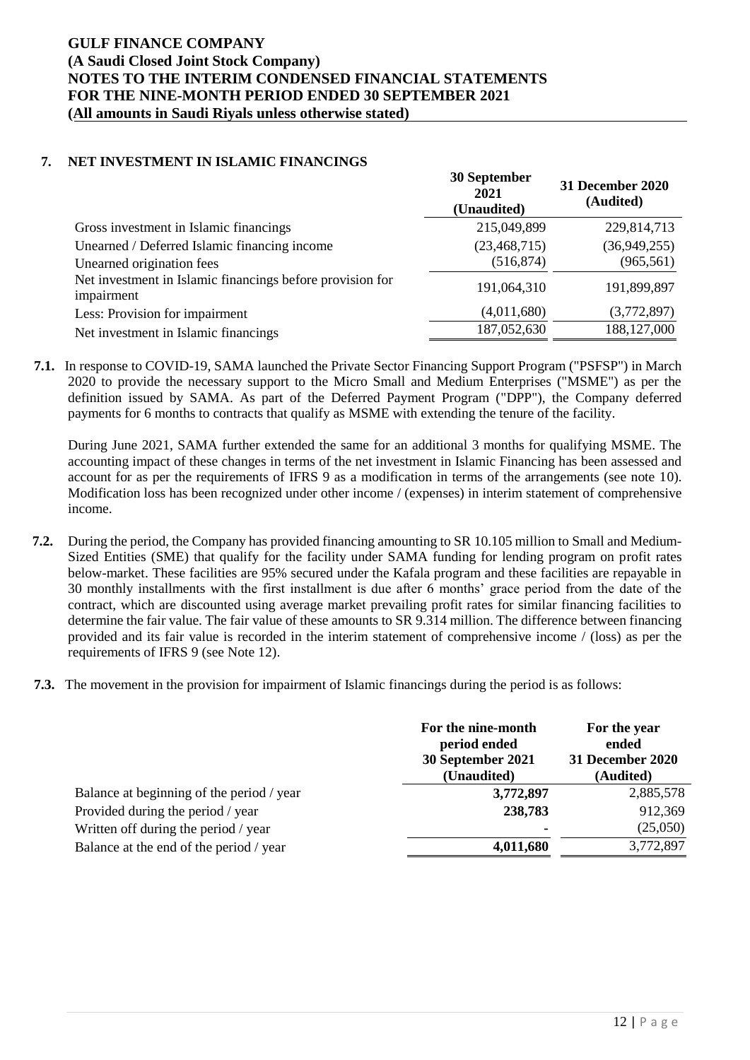## **7. NET INVESTMENT IN ISLAMIC FINANCINGS**

|                                                                         | 30 September<br>2021<br>(Unaudited) | <b>31 December 2020</b><br>(Audited) |
|-------------------------------------------------------------------------|-------------------------------------|--------------------------------------|
| Gross investment in Islamic financings                                  | 215,049,899                         | 229,814,713                          |
| Unearned / Deferred Islamic financing income                            | (23, 468, 715)                      | (36,949,255)                         |
| Unearned origination fees                                               | (516, 874)                          | (965, 561)                           |
| Net investment in Islamic financings before provision for<br>impairment | 191,064,310                         | 191,899,897                          |
| Less: Provision for impairment                                          | (4,011,680)                         | (3,772,897)                          |
| Net investment in Islamic financings                                    | 187,052,630                         | 188, 127, 000                        |

**7.1.** In response to COVID-19, SAMA launched the Private Sector Financing Support Program ("PSFSP") in March 2020 to provide the necessary support to the Micro Small and Medium Enterprises ("MSME") as per the definition issued by SAMA. As part of the Deferred Payment Program ("DPP"), the Company deferred payments for 6 months to contracts that qualify as MSME with extending the tenure of the facility.

During June 2021, SAMA further extended the same for an additional 3 months for qualifying MSME. The accounting impact of these changes in terms of the net investment in Islamic Financing has been assessed and account for as per the requirements of IFRS 9 as a modification in terms of the arrangements (see note 10). Modification loss has been recognized under other income / (expenses) in interim statement of comprehensive income.

- **7.2.** During the period, the Company has provided financing amounting to SR 10.105 million to Small and Medium-Sized Entities (SME) that qualify for the facility under SAMA funding for lending program on profit rates below-market. These facilities are 95% secured under the Kafala program and these facilities are repayable in 30 monthly installments with the first installment is due after 6 months' grace period from the date of the contract, which are discounted using average market prevailing profit rates for similar financing facilities to determine the fair value. The fair value of these amounts to SR 9.314 million. The difference between financing provided and its fair value is recorded in the interim statement of comprehensive income / (loss) as per the requirements of IFRS 9 (see Note 12).
- **7.3.** The movement in the provision for impairment of Islamic financings during the period is as follows:

|                                           | For the nine-month<br>period ended<br>30 September 2021<br>(Unaudited) | For the year<br>ended<br><b>31 December 2020</b><br>(Audited) |
|-------------------------------------------|------------------------------------------------------------------------|---------------------------------------------------------------|
| Balance at beginning of the period / year | 3,772,897                                                              | 2,885,578                                                     |
| Provided during the period / year         | 238,783                                                                | 912,369                                                       |
| Written off during the period / year      |                                                                        | (25,050)                                                      |
| Balance at the end of the period / year   | 4,011,680                                                              | 3,772,897                                                     |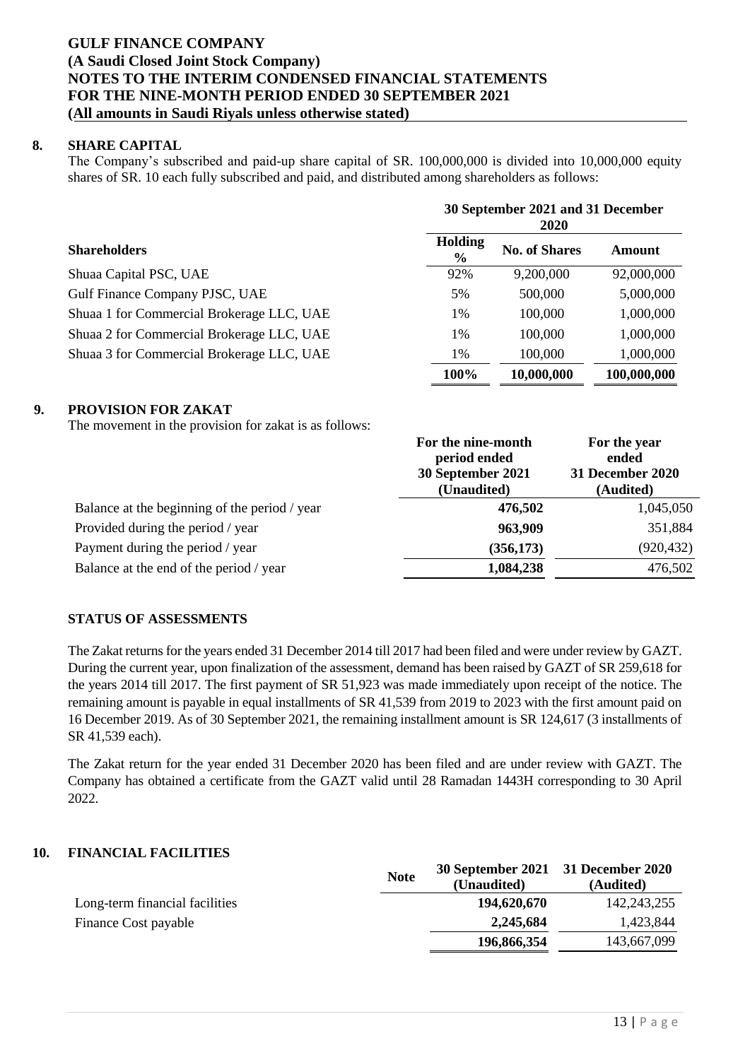## **8. SHARE CAPITAL**

The Company's subscribed and paid-up share capital of SR. 100,000,000 is divided into 10,000,000 equity shares of SR. 10 each fully subscribed and paid, and distributed among shareholders as follows:

|                                           |                 | 30 September 2021 and 31 December<br><b>2020</b> |               |  |  |
|-------------------------------------------|-----------------|--------------------------------------------------|---------------|--|--|
| <b>Shareholders</b>                       | Holding<br>$\%$ | <b>No. of Shares</b>                             | <b>Amount</b> |  |  |
| Shuaa Capital PSC, UAE                    | 92%             | 9,200,000                                        | 92,000,000    |  |  |
| Gulf Finance Company PJSC, UAE            | 5%              | 500,000                                          | 5,000,000     |  |  |
| Shuaa 1 for Commercial Brokerage LLC, UAE | 1%              | 100,000                                          | 1,000,000     |  |  |
| Shuaa 2 for Commercial Brokerage LLC, UAE | 1%              | 100,000                                          | 1,000,000     |  |  |
| Shuaa 3 for Commercial Brokerage LLC, UAE | 1%              | 100,000                                          | 1,000,000     |  |  |
|                                           | 100%            | 10,000,000                                       | 100,000,000   |  |  |

### **9. PROVISION FOR ZAKAT**

The movement in the provision for zakat is as follows:

|                                               | For the nine-month<br>period ended<br>30 September 2021<br>(Unaudited) | For the year<br>ended<br>31 December 2020<br>(Audited) |
|-----------------------------------------------|------------------------------------------------------------------------|--------------------------------------------------------|
| Balance at the beginning of the period / year | 476,502                                                                | 1,045,050                                              |
| Provided during the period / year             | 963,909                                                                | 351,884                                                |
| Payment during the period / year              | (356, 173)                                                             | (920, 432)                                             |
| Balance at the end of the period / year       | 1,084,238                                                              | 476,502                                                |

## **STATUS OF ASSESSMENTS**

The Zakat returns for the years ended 31 December 2014 till 2017 had been filed and were under review by GAZT. During the current year, upon finalization of the assessment, demand has been raised by GAZT of SR 259,618 for the years 2014 till 2017. The first payment of SR 51,923 was made immediately upon receipt of the notice. The remaining amount is payable in equal installments of SR 41,539 from 2019 to 2023 with the first amount paid on 16 December 2019. As of 30 September 2021, the remaining installment amount is SR 124,617 (3 installments of SR 41,539 each).

The Zakat return for the year ended 31 December 2020 has been filed and are under review with GAZT. The Company has obtained a certificate from the GAZT valid until 28 Ramadan 1443H corresponding to 30 April 2022.

### **10. FINANCIAL FACILITIES**

|                                | <b>Note</b> | 30 September 2021 31 December 2020<br>(Unaudited) | (Audited)     |
|--------------------------------|-------------|---------------------------------------------------|---------------|
| Long-term financial facilities |             | 194,620,670                                       | 142, 243, 255 |
| Finance Cost payable           |             | 2,245,684                                         | 1.423.844     |
|                                |             | 196,866,354                                       | 143,667,099   |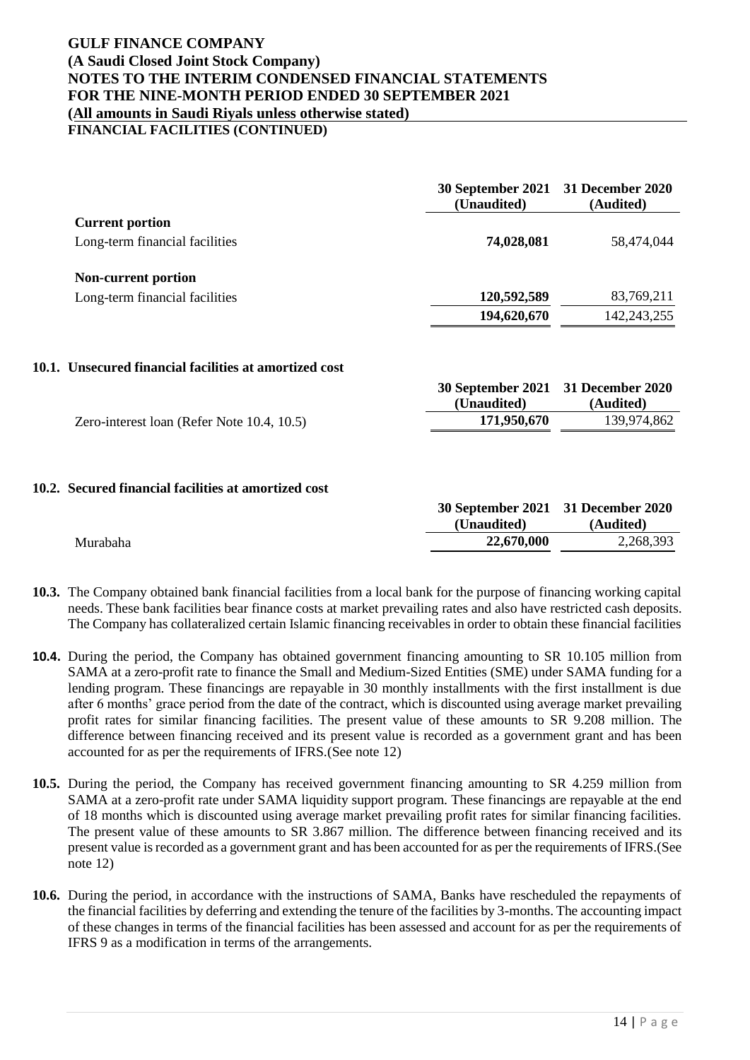**FINANCIAL FACILITIES (CONTINUED)**

|                                | 30 September 2021 31 December 2020<br>(Unaudited) | (Audited)   |
|--------------------------------|---------------------------------------------------|-------------|
| <b>Current portion</b>         |                                                   |             |
| Long-term financial facilities | 74,028,081                                        | 58,474,044  |
| <b>Non-current portion</b>     |                                                   |             |
| Long-term financial facilities | 120,592,589                                       | 83,769,211  |
|                                | 194,620,670                                       | 142,243,255 |

### **10.1. Unsecured financial facilities at amortized cost**

|                                            | 30 September 2021 31 December 2020 |             |
|--------------------------------------------|------------------------------------|-------------|
|                                            | (Unaudited)                        | (Audited)   |
| Zero-interest loan (Refer Note 10.4, 10.5) | 171,950,670                        | 139.974.862 |

### **10.2. Secured financial facilities at amortized cost**

|          | 30 September 2021 31 December 2020 |           |
|----------|------------------------------------|-----------|
|          | (Unaudited)                        | (Audited) |
| Murabaha | 22,670,000                         | 2,268,393 |

- **10.3.** The Company obtained bank financial facilities from a local bank for the purpose of financing working capital needs. These bank facilities bear finance costs at market prevailing rates and also have restricted cash deposits. The Company has collateralized certain Islamic financing receivables in order to obtain these financial facilities
- **10.4.** During the period, the Company has obtained government financing amounting to SR 10.105 million from SAMA at a zero-profit rate to finance the Small and Medium-Sized Entities (SME) under SAMA funding for a lending program. These financings are repayable in 30 monthly installments with the first installment is due after 6 months' grace period from the date of the contract, which is discounted using average market prevailing profit rates for similar financing facilities. The present value of these amounts to SR 9.208 million. The difference between financing received and its present value is recorded as a government grant and has been accounted for as per the requirements of IFRS.(See note 12)
- **10.5.** During the period, the Company has received government financing amounting to SR 4.259 million from SAMA at a zero-profit rate under SAMA liquidity support program. These financings are repayable at the end of 18 months which is discounted using average market prevailing profit rates for similar financing facilities. The present value of these amounts to SR 3.867 million. The difference between financing received and its present value is recorded as a government grant and has been accounted for as per the requirements of IFRS.(See note 12)
- **10.6.** During the period, in accordance with the instructions of SAMA, Banks have rescheduled the repayments of the financial facilities by deferring and extending the tenure of the facilities by 3-months. The accounting impact of these changes in terms of the financial facilities has been assessed and account for as per the requirements of IFRS 9 as a modification in terms of the arrangements.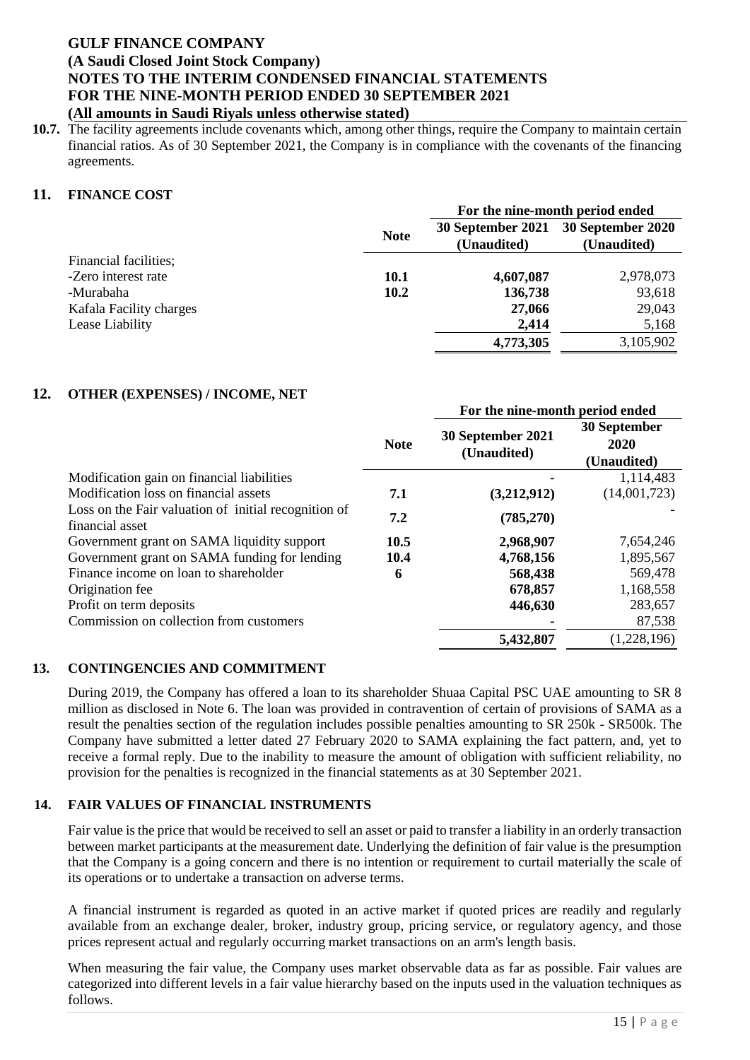**10.7.** The facility agreements include covenants which, among other things, require the Company to maintain certain financial ratios. As of 30 September 2021, the Company is in compliance with the covenants of the financing agreements.

# **11. FINANCE COST**

|                         |             | For the nine-month period ended |                   |  |
|-------------------------|-------------|---------------------------------|-------------------|--|
|                         | <b>Note</b> | 30 September 2021               | 30 September 2020 |  |
|                         |             | (Unaudited)                     | (Unaudited)       |  |
| Financial facilities;   |             |                                 |                   |  |
| -Zero interest rate     | <b>10.1</b> | 4,607,087                       | 2,978,073         |  |
| -Murabaha               | 10.2        | 136,738                         | 93,618            |  |
| Kafala Facility charges |             | 27,066                          | 29,043            |  |
| Lease Liability         |             | 2,414                           | 5,168             |  |
|                         |             | 4,773,305                       | 3,105,902         |  |

**For the nine-month period ended**

### **12. OTHER (EXPENSES) / INCOME, NET**

|                                                                         |             | r'or the mne-month period ended  |                                     |
|-------------------------------------------------------------------------|-------------|----------------------------------|-------------------------------------|
|                                                                         | <b>Note</b> | 30 September 2021<br>(Unaudited) | 30 September<br>2020<br>(Unaudited) |
| Modification gain on financial liabilities                              |             |                                  | 1,114,483                           |
| Modification loss on financial assets                                   | 7.1         | (3,212,912)                      | (14,001,723)                        |
| Loss on the Fair valuation of initial recognition of<br>financial asset | 7.2         | (785,270)                        |                                     |
| Government grant on SAMA liquidity support                              | 10.5        | 2,968,907                        | 7,654,246                           |
| Government grant on SAMA funding for lending                            | 10.4        | 4,768,156                        | 1,895,567                           |
| Finance income on loan to shareholder                                   | 6           | 568,438                          | 569,478                             |
| Origination fee                                                         |             | 678,857                          | 1,168,558                           |
| Profit on term deposits                                                 |             | 446,630                          | 283,657                             |
| Commission on collection from customers                                 |             |                                  | 87,538                              |
|                                                                         |             | 5,432,807                        | (1,228,196)                         |

### **13. CONTINGENCIES AND COMMITMENT**

During 2019, the Company has offered a loan to its shareholder Shuaa Capital PSC UAE amounting to SR 8 million as disclosed in Note 6. The loan was provided in contravention of certain of provisions of SAMA as a result the penalties section of the regulation includes possible penalties amounting to SR 250k - SR500k. The Company have submitted a letter dated 27 February 2020 to SAMA explaining the fact pattern, and, yet to receive a formal reply. Due to the inability to measure the amount of obligation with sufficient reliability, no provision for the penalties is recognized in the financial statements as at 30 September 2021.

### **14. FAIR VALUES OF FINANCIAL INSTRUMENTS**

Fair value is the price that would be received to sell an asset or paid to transfer a liability in an orderly transaction between market participants at the measurement date. Underlying the definition of fair value is the presumption that the Company is a going concern and there is no intention or requirement to curtail materially the scale of its operations or to undertake a transaction on adverse terms.

A financial instrument is regarded as quoted in an active market if quoted prices are readily and regularly available from an exchange dealer, broker, industry group, pricing service, or regulatory agency, and those prices represent actual and regularly occurring market transactions on an arm's length basis.

When measuring the fair value, the Company uses market observable data as far as possible. Fair values are categorized into different levels in a fair value hierarchy based on the inputs used in the valuation techniques as follows.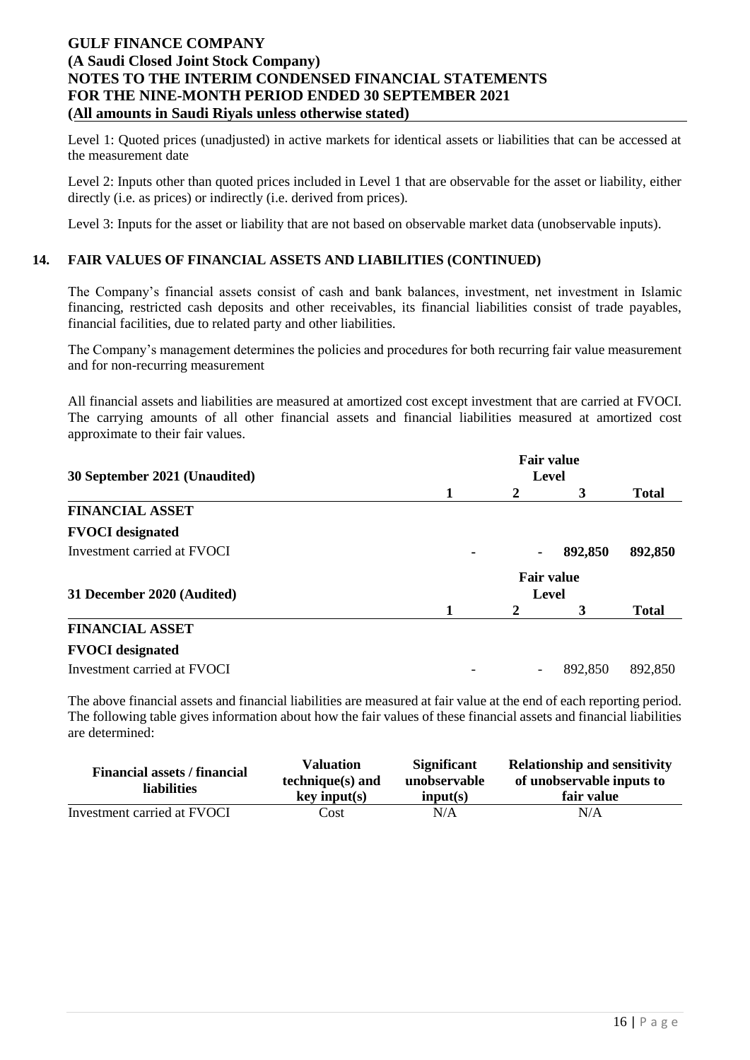Level 1: Quoted prices (unadjusted) in active markets for identical assets or liabilities that can be accessed at the measurement date

Level 2: Inputs other than quoted prices included in Level 1 that are observable for the asset or liability, either directly (i.e. as prices) or indirectly (i.e. derived from prices).

Level 3: Inputs for the asset or liability that are not based on observable market data (unobservable inputs).

# **14. FAIR VALUES OF FINANCIAL ASSETS AND LIABILITIES (CONTINUED)**

The Company's financial assets consist of cash and bank balances, investment, net investment in Islamic financing, restricted cash deposits and other receivables, its financial liabilities consist of trade payables, financial facilities, due to related party and other liabilities.

The Company's management determines the policies and procedures for both recurring fair value measurement and for non-recurring measurement

All financial assets and liabilities are measured at amortized cost except investment that are carried at FVOCI. The carrying amounts of all other financial assets and financial liabilities measured at amortized cost approximate to their fair values.

|                               |   | <b>Fair value</b> |                   |              |  |  |
|-------------------------------|---|-------------------|-------------------|--------------|--|--|
| 30 September 2021 (Unaudited) |   | Level             |                   |              |  |  |
|                               | 1 | 2                 | 3                 | <b>Total</b> |  |  |
| <b>FINANCIAL ASSET</b>        |   |                   |                   |              |  |  |
| <b>FVOCI</b> designated       |   |                   |                   |              |  |  |
| Investment carried at FVOCI   | ۰ | ۰                 | 892,850           | 892,850      |  |  |
|                               |   |                   | <b>Fair value</b> |              |  |  |
| 31 December 2020 (Audited)    |   |                   | Level             |              |  |  |
|                               | 1 | 2                 | 3                 | <b>Total</b> |  |  |
| <b>FINANCIAL ASSET</b>        |   |                   |                   |              |  |  |
| <b>FVOCI</b> designated       |   |                   |                   |              |  |  |
| Investment carried at FVOCI   |   | ۰                 | 892,850           | 892,850      |  |  |

The above financial assets and financial liabilities are measured at fair value at the end of each reporting period. The following table gives information about how the fair values of these financial assets and financial liabilities are determined:

| <b>Financial assets / financial</b><br>liabilities | <b>Valuation</b><br>$technique(s)$ and<br>key input(s) | <b>Significant</b><br>unobservable<br>input(s) | <b>Relationship and sensitivity</b><br>of unobservable inputs to<br>fair value |
|----------------------------------------------------|--------------------------------------------------------|------------------------------------------------|--------------------------------------------------------------------------------|
| Investment carried at FVOCI                        | Cost                                                   | N/A                                            | N/A                                                                            |